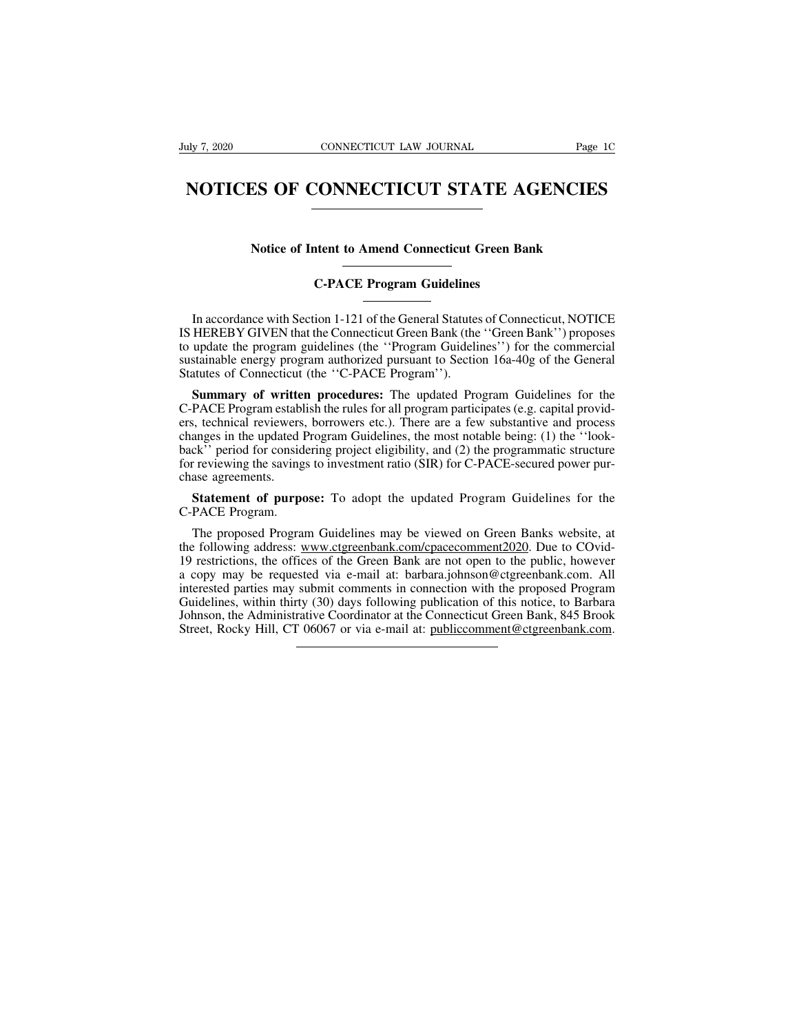# NOTICES OF CONNECTICUT STATE AGENCIES **NOTICES OF CONNECTICUT STATE AGENCIES**<br>Notice of Intent to Amend Connecticut Green Bank<br>C-PACE Program Guidelines **COINNECTICUT STATE A**<br> **C-PACE Program Guidelines**<br> **C-PACE Program Guidelines**

Notice of Intent to Amend Connecticut Green Bank<br>
C-PACE Program Guidelines<br>
In accordance with Section 1-121 of the General Statutes of Connecticut, NOTICE<br>
HEREBY GIVEN that the Connecticut Green Bank (the "Green Bank") Notice of Intent to Amend Connecticut Green Bank<br>
C-PACE Program Guidelines<br>
In accordance with Section 1-121 of the General Statutes of Connecticut, NOTICE<br>
IS HEREBY GIVEN that the Connecticut Green Bank (the "Green Bank The Program Guidelines<br>
C-PACE Program Guidelines<br>
In accordance with Section 1-121 of the General Statutes of Connecticut, NOTICE<br>
IS HEREBY GIVEN that the Connecticut Green Bank (the "Green Bank") proposes<br>
to update the C-PACE Program Guidelines<br>
In accordance with Section 1-121 of the General Statutes of Connecticut, NOTICE<br>
IS HEREBY GIVEN that the Connecticut Green Bank (the "Green Bank") proposes<br>
to update the program guidelines (the C-PACE Program Guidelines<br>
In accordance with Section 1-121 of the General Statutes<br>
IS HEREBY GIVEN that the Connecticut Green Bank (the<br>
to update the program guidelines (the "Program Guideli<br>
sustainable energy program In accordance with Section 1-121 of the General Statutes of Connecticut, NOTICE<br>HEREBY GIVEN that the Connecticut Green Bank (the "Green Bank") proposes<br>update the program guidelines (the "Program Guidelines") for the comm In accordance with Section 1-121 of the General Statutes of Connecticut, NOTICE<br>IS HEREBY GIVEN that the Connecticut Green Bank (the "Green Bank") proposes<br>to update the program guidelines (the "Program Guidelines") for th

IS HEREBY GIVEN that the Connecticut Green Bank (the "Green Bank") proposes<br>to update the program guidelines (the "Program Guidelines") for the commercial<br>sustainable energy program authorized pursuant to Section 16a-40g o to update the program guidelines (the "Program Guidelines") for the commercial<br>sustainable energy program authorized pursuant to Section 16a-40g of the General<br>Statutes of Connecticut (the "C-PACE Program").<br>**Summary of wr** sustainable energy program authorized pursuant to Section 16a-40g of the General<br>Statutes of Connecticut (the "C-PACE Program").<br>**Summary of written procedures:** The updated Program Guidelines for the<br>C-PACE Program establ Statutes of Connecticut (the "C-PACE Program").<br> **Summary of written procedures:** The updated Program Guidelines for the<br>
C-PACE Program establish the rules for all program participates (e.g. capital provid-<br>
ers, technica **Summary of writte**<br>C-PACE Program establers, technical reviewers<br>changes in the updated back'' period for consider<br>for reviewing the saving<br>chase agreements.<br>**Statement of purp** PACE Program establish the rules for all program participates (e.g. capital provid-<br>
Statement of purposes: borrowers etc.). There are a few substantive and process<br>
anges in the updated Program Guidelines, the most notabl ers, technical reviewers,<br>changes in the updated H<br>back'' period for conside<br>for reviewing the saving<br>chase agreements.<br>**Statement of purpo**<br>C-PACE Program.<br>The proposed Program. Letter and the proposed Program Guidelines, the most holder orang. (1) the Took<br>The provide proposed Program Cuidelines may be viewed on Green Banks website, at<br>**Statement of purpose:** To adopt the updated Program Guidelin

the formulation of the savings to investment ratio (SIR) for C-PACE-secured power pur-<br>chase agreements.<br>**Statement of purpose:** To adopt the updated Program Guidelines for the<br>C-PACE Program.<br>The proposed Program Guidelin 19 restrictions, the offices of the districtions, the offices of the C-PACE Program.<br>
The proposed Program Guidelines may be viewed on Green Banks website, at<br>
the following address: www.ctgreenbank.com/cpacecomment2020. D **Statement of purpose:** To adopt the updated Program Guidelines for the C-PACE Program.<br>
The proposed Program Guidelines may be viewed on Green Banks website, at<br>
the following address: www.ctgreenbank.com/cpacecomment2020 **Statement of purpose:** To adopt the updated Program Guidelines for the C-PACE Program.<br>
The proposed Program Guidelines may be viewed on Green Banks website, at<br>
the following address: www.ctgreenbank.com/cpacecomment2020 C-PACE Program.<br>The proposed Program Guidelines may be viewed on Green Banks website, at<br>the following address: www.ctgreenbank.com/cpacecomment2020. Due to COvid-<br>19 restrictions, the offices of the Green Bank are not ope The proposed Program Guidelines may be viewed on Green Banks website, at the following address: www.ctgreenbank.com/cpacecomment2020. Due to COvid-19 restrictions, the offices of the Green Bank are not open to the public, The proposed Frogram Outdelines may be viewed on Oreen Banks website, at<br>the following address: www.ctgreenbank.com/cpacecomment2020. Due to COvid-<br>19 restrictions, the offices of the Green Bank are not open to the public,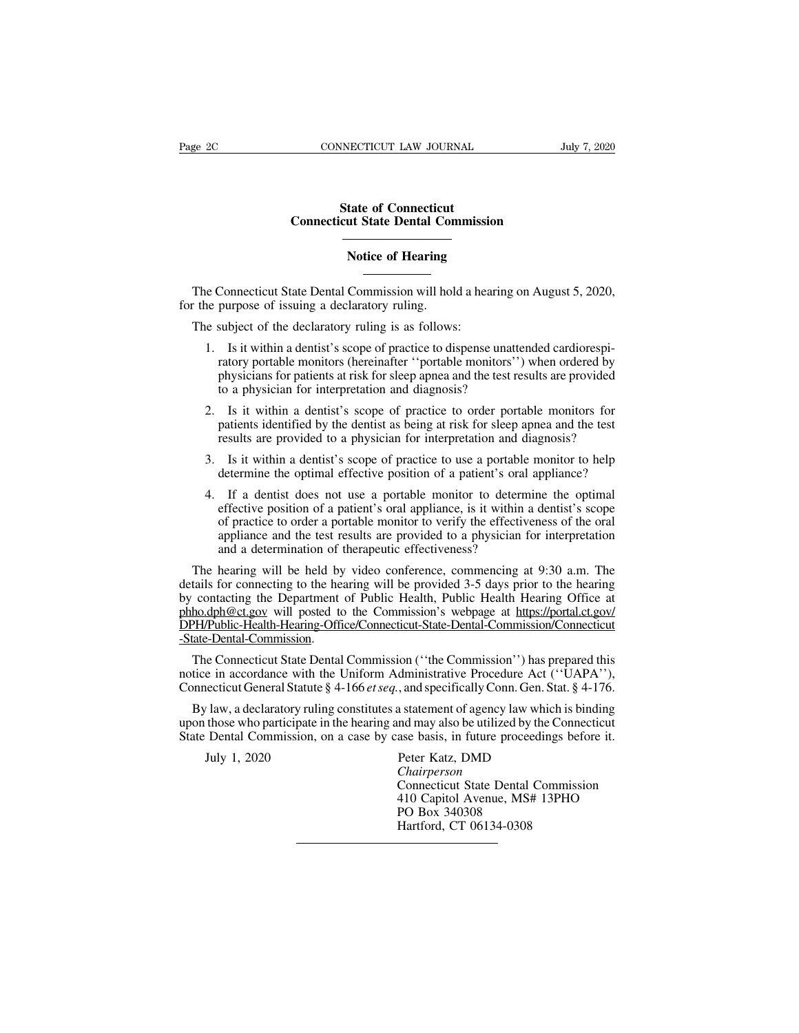### **STATE CONNET SET CONNET STATE OF CONNET STATE STATE STATE STATE STATE STATE STATE STATE STATE STATE STATE STATE STATE STATE STATE STATE STATE STATE STATE STATE STATE STATE STATE STATE STATE STATE STATE STATE STATE STATE S CONNECTICUT LAW JOURNAL** JUNE JEAN JOURNAL JUNE STATE OF CONNECTICUT STATE CONNECTION CONNECTION CONNECTION CONTINUOSITY CONTINUOSITY CONTINUOSITY CONTINUOSITY CONTINUOSITY CONTINUOSITY CONTINUOSITY CONTINUOSITY CONTINUOS **Example 18 Connecticut**<br> **In State Dental Commission<br>
Notice of Hearing<br>
Commission will hold a booting**

State of Connecticut<br>
Connecticut State Dental Commission<br>
Notice of Hearing<br>
The Connecticut State Dental Commission will hold a hearing on August 5, 2020,<br>
The purpose of issuing a declaratory ruling is as follows: For the purpose of issuing a declaratory ruling.<br>The Connecticut State Dental Commission will hold for the purpose of issuing a declaratory ruling.<br>The subject of the declaratory ruling is as follows Notice of Hearing<br>
The Connecticut State Dental Commission will hold a hear<br>
The purpose of issuing a declaratory ruling.<br>
The subject of the declaratory ruling is as follows:<br>
1. Is it within a dentist's scope of practice

- 1. Is it within a dentist's scope of practice to dispense unattended cardiorespi-Connecticut State Dental Commission will hold a hearing on August 5, 2020, purpose of issuing a declaratory ruling.<br>
subject of the declaratory ruling is as follows:<br>
Is it within a dentist's scope of practice to dispense Connecticut State Dental Commission will hold a hearing on August 5, 2020,<br>purpose of issuing a declaratory ruling.<br>subject of the declaratory ruling is as follows:<br>Is it within a dentist's scope of practice to dispense un purpose of issuing a declaratory ruling.<br>
subject of the declaratory ruling is as follows:<br>
Is it within a dentist's scope of practice to dispense unatt<br>
ratory portable monitors (hereinafter "portable monitors")<br>
physicia 2. Is it within a dentist's scope of practice to dispense unattended cardiorespi-<br>
1. Is it within a dentist's scope of practice to dispense unattended cardiorespi-<br>
ratory portable monitors (hereinafter "portable monitors Is it within a dentist's scope of practice to dispense unattended cardiorespiratory portable monitors (hereinafter "portable monitors") when ordered by physicians for patients at risk for sleep apnea and the test results a Is it within a dentist's scope of practice to dispense unattended cardiorespiratory portable monitors (hereinafter "portable monitors") when ordered by physicians for patients at risk for sleep apnea and the test results a
- 2. Is it within a dentist's scope of practice to order portable monitors of provided<br>to a physician for interpretation and diagnosis?<br>2. Is it within a dentist's scope of practice to order portable monitors for<br>patients id to a physician for interpretation and diagnosis?<br>
Is it within a dentist's scope of practice to order portable monitors for<br>
patients identified by the dentist as being at risk for sleep apnea and the test<br>
results are pro
- 
- 2. Is it within a dentist's scope of practice to order portable monitors for patients identified by the dentist as being at risk for sleep apnea and the test results are provided to a physician for interpretation and diagn Fraction of a patient sidentified by the dentist as being at risk for sleep appea and the test results are provided to a physician for interpretation and diagnosis?<br>Is it within a dentist's scope of practice to use a porta particular a provided to a physician for interpretation and diagnosis?<br>Is it within a dentist's scope of practice to use a portable monitor to help<br>determine the optimal effective position of a patient's oral appliance?<br>If Is it within a dentist's scope of practice to use a portable monitor to help<br>determine the optimal effective position of a patient's oral appliance?<br>If a dentist does not use a portable monitor to determine the optimal<br>ef Is it within a dentist's scope of practice to use a portable<br>determine the optimal effective position of a patient's oral<br>If a dentist does not use a portable monitor to determ<br>effective position of a patient's oral appli A. If a dentist does not use a portable monitor to determine the optimal effective position of a patient's oral appliance, is it within a dentist's scope of practice to order a portable monitor to verify the effectiveness 4. If a dentist does not use a portable monitor to determine the optimal<br>effective position of a patient's oral appliance, is it within a dentist's scope<br>of practice to order a portable monitor to verify the effectiveness

effective position of a patient's oral appliance, is it within a dentist's scope<br>of practice to order a portable monitor to verify the effectiveness of the oral<br>appliance and the test results are provided to a physician fo of practice to order a portable monitor to verify the effectiveness of the oral<br>appliance and the test results are provided to a physician for interpretation<br>and a determination of therapeutic effectiveness?<br>The hearing wi DPH/Public-Health-Hearing-Office/Connecticut-State-Dental-Commission/Connecticut -State-Dental-Commission. The hearing will be held by video conference, commencing at 9:30 a.m. The tails for connecting to the hearing will be provided 3-5 days prior to the hearing contacting the Department of Public Health, Public Health Hearin details for connecting to the hearing will be provided 3-5 days prior to the hearing<br>by contacting the Department of Public Health, Public Health Hearing Office at<br>phho.dph@ct.gov will posted to the Commission's webpage at by contacting the Department of Public Health, Public Health Hearing Office at phho.dph@ct.gov will posted to the Commission's webpage at https://portal.ct.gov/<br>
DPH/Public-Health-Hearing-Office/Connecticut-State-Dental-Co

**PH/Public-Health-Hearing-Office/Connecticut-State-Dental-Commission/Connecticut**<br>ate-Dental-Commission.<br>The Connecticut State Dental Commission ("the Commission") has prepared this<br>tice in accordance with the Uniform Adm Extreme Form Those who participate in the Uniform Administrative Procedure Act ("UAPA"),<br>Connecticut General Statute § 4-166 *et seq.*, and specifically Conn. Gen. Stat. § 4-176.<br>By law, a declaratory ruling constitutes a The Connecticut State Dental Commission ("the Commission") has prepared this<br>notice in accordance with the Uniform Administrative Procedure Act ("UAPA"),<br>Connecticut General Statute § 4-166 *et seq.*, and specifically Conn

Let us connected by the Uniform Administrative Procedure Act ("Uzineticut General Statute § 4-166 *et seq.*, and specifically Conn. Gen. Stat. §  $\frac{1}{N}$  law, a declaratory ruling constitutes a statement of agency law wh

*Chairperson* a statement of agency law which is binding<br>and may also be utilized by the Connecticut<br>ase basis, in future proceedings before it.<br>Peter Katz, DMD<br>Chairperson<br>Connecticut State Dental Commission<br>410 Capitol Avenue, MS# 13P a statement of agency law which is binding<br>
and may also be utilized by the Connecticut<br>
ase basis, in future proceedings before it.<br>
Peter Katz, DMD<br>
Chairperson<br>
Connecticut State Dental Commission<br>
410 Capitol Avenue, M nd may also be utilized by th<br>ase basis, in future proceed<br>Peter Katz, DMD<br>*Chairperson*<br>Connecticut State Dental C<br>410 Capitol Avenue, MS#<br>PO Box 340308<br>Hartford, CT 06134-0308 ase basis, in future procee<br>Peter Katz, DMD<br>Chairperson<br>Connecticut State Dental<br>410 Capitol Avenue, MS+<br>PO Box 340308<br>Hartford, CT 06134-0308